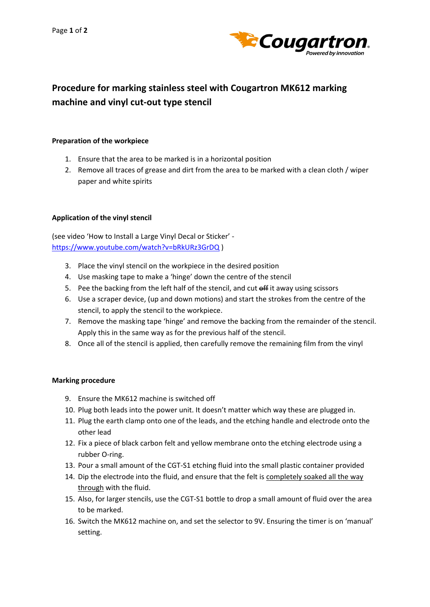

## **Procedure for marking stainless steel with Cougartron MK612 marking machine and vinyl cut-out type stencil**

## **Preparation of the workpiece**

- 1. Ensure that the area to be marked is in a horizontal position
- 2. Remove all traces of grease and dirt from the area to be marked with a clean cloth / wiper paper and white spirits

## **Application of the vinyl stencil**

(see video 'How to Install a Large Vinyl Decal or Sticker' <https://www.youtube.com/watch?v=bRkURz3GrDQ> )

- 3. Place the vinyl stencil on the workpiece in the desired position
- 4. Use masking tape to make a 'hinge' down the centre of the stencil
- 5. Pee the backing from the left half of the stencil, and cut off it away using scissors
- 6. Use a scraper device, (up and down motions) and start the strokes from the centre of the stencil, to apply the stencil to the workpiece.
- 7. Remove the masking tape 'hinge' and remove the backing from the remainder of the stencil. Apply this in the same way as for the previous half of the stencil.
- 8. Once all of the stencil is applied, then carefully remove the remaining film from the vinyl

## **Marking procedure**

- 9. Ensure the MK612 machine is switched off
- 10. Plug both leads into the power unit. It doesn't matter which way these are plugged in.
- 11. Plug the earth clamp onto one of the leads, and the etching handle and electrode onto the other lead
- 12. Fix a piece of black carbon felt and yellow membrane onto the etching electrode using a rubber O-ring.
- 13. Pour a small amount of the CGT-S1 etching fluid into the small plastic container provided
- 14. Dip the electrode into the fluid, and ensure that the felt is completely soaked all the way through with the fluid.
- 15. Also, for larger stencils, use the CGT-S1 bottle to drop a small amount of fluid over the area to be marked.
- 16. Switch the MK612 machine on, and set the selector to 9V. Ensuring the timer is on 'manual' setting.